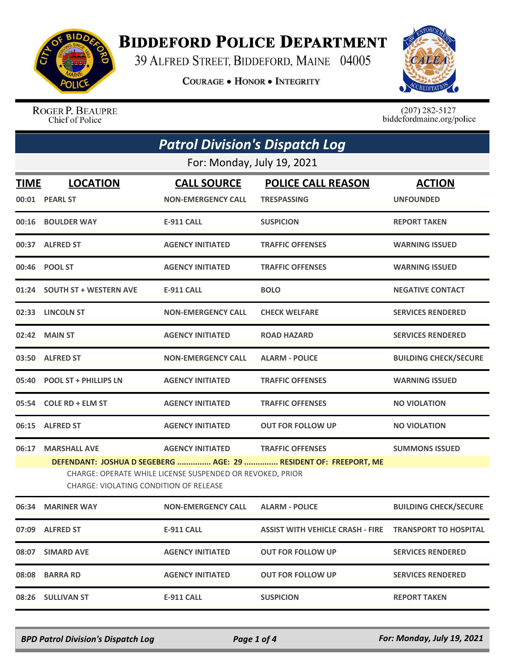

## **BIDDEFORD POLICE DEPARTMENT**

39 ALFRED STREET, BIDDEFORD, MAINE 04005

**COURAGE . HONOR . INTEGRITY** 



ROGER P. BEAUPRE Chief of Police

 $(207)$  282-5127<br>biddefordmaine.org/police

|             | <b>Patrol Division's Dispatch Log</b>                                                                                                                                   |                                                 |                                                 |                                   |  |
|-------------|-------------------------------------------------------------------------------------------------------------------------------------------------------------------------|-------------------------------------------------|-------------------------------------------------|-----------------------------------|--|
|             | For: Monday, July 19, 2021                                                                                                                                              |                                                 |                                                 |                                   |  |
| <b>TIME</b> | <b>LOCATION</b><br>00:01 PEARL ST                                                                                                                                       | <b>CALL SOURCE</b><br><b>NON-EMERGENCY CALL</b> | <b>POLICE CALL REASON</b><br><b>TRESPASSING</b> | <b>ACTION</b><br><b>UNFOUNDED</b> |  |
|             | 00:16 BOULDER WAY                                                                                                                                                       | <b>E-911 CALL</b>                               | <b>SUSPICION</b>                                | <b>REPORT TAKEN</b>               |  |
|             | 00:37 ALFRED ST                                                                                                                                                         | <b>AGENCY INITIATED</b>                         | <b>TRAFFIC OFFENSES</b>                         | <b>WARNING ISSUED</b>             |  |
|             | 00:46 POOL ST                                                                                                                                                           | <b>AGENCY INITIATED</b>                         | <b>TRAFFIC OFFENSES</b>                         | <b>WARNING ISSUED</b>             |  |
|             | 01:24 SOUTH ST + WESTERN AVE                                                                                                                                            | <b>E-911 CALL</b>                               | <b>BOLO</b>                                     | <b>NEGATIVE CONTACT</b>           |  |
|             | 02:33 LINCOLN ST                                                                                                                                                        | <b>NON-EMERGENCY CALL</b>                       | <b>CHECK WELFARE</b>                            | <b>SERVICES RENDERED</b>          |  |
|             | 02:42 MAIN ST                                                                                                                                                           | <b>AGENCY INITIATED</b>                         | <b>ROAD HAZARD</b>                              | <b>SERVICES RENDERED</b>          |  |
|             | 03:50 ALFRED ST                                                                                                                                                         | <b>NON-EMERGENCY CALL</b>                       | <b>ALARM - POLICE</b>                           | <b>BUILDING CHECK/SECURE</b>      |  |
|             | 05:40 POOL ST + PHILLIPS LN                                                                                                                                             | <b>AGENCY INITIATED</b>                         | <b>TRAFFIC OFFENSES</b>                         | <b>WARNING ISSUED</b>             |  |
|             | 05:54 COLE RD + ELM ST                                                                                                                                                  | <b>AGENCY INITIATED</b>                         | <b>TRAFFIC OFFENSES</b>                         | <b>NO VIOLATION</b>               |  |
|             | 06:15 ALFRED ST                                                                                                                                                         | <b>AGENCY INITIATED</b>                         | <b>OUT FOR FOLLOW UP</b>                        | <b>NO VIOLATION</b>               |  |
|             | 06:17 MARSHALL AVE                                                                                                                                                      | <b>AGENCY INITIATED</b>                         | <b>TRAFFIC OFFENSES</b>                         | <b>SUMMONS ISSUED</b>             |  |
|             | DEFENDANT: JOSHUA D SEGEBERG  AGE: 29  RESIDENT OF: FREEPORT, ME<br>CHARGE: OPERATE WHILE LICENSE SUSPENDED OR REVOKED, PRIOR<br>CHARGE: VIOLATING CONDITION OF RELEASE |                                                 |                                                 |                                   |  |
|             | 06:34 MARINER WAY                                                                                                                                                       | <b>NON-EMERGENCY CALL</b>                       | <b>ALARM - POLICE</b>                           | <b>BUILDING CHECK/SECURE</b>      |  |
|             | 07:09 ALFRED ST                                                                                                                                                         | <b>E-911 CALL</b>                               |                                                 |                                   |  |
|             | 08:07 SIMARD AVE                                                                                                                                                        | <b>AGENCY INITIATED</b>                         | <b>OUT FOR FOLLOW UP</b>                        | <b>SERVICES RENDERED</b>          |  |
|             | 08:08 BARRA RD                                                                                                                                                          | <b>AGENCY INITIATED</b>                         | <b>OUT FOR FOLLOW UP</b>                        | <b>SERVICES RENDERED</b>          |  |
|             | 08:26 SULLIVAN ST                                                                                                                                                       | <b>E-911 CALL</b>                               | <b>SUSPICION</b>                                | <b>REPORT TAKEN</b>               |  |

*BPD Patrol Division's Dispatch Log Page 1 of 4 For: Monday, July 19, 2021*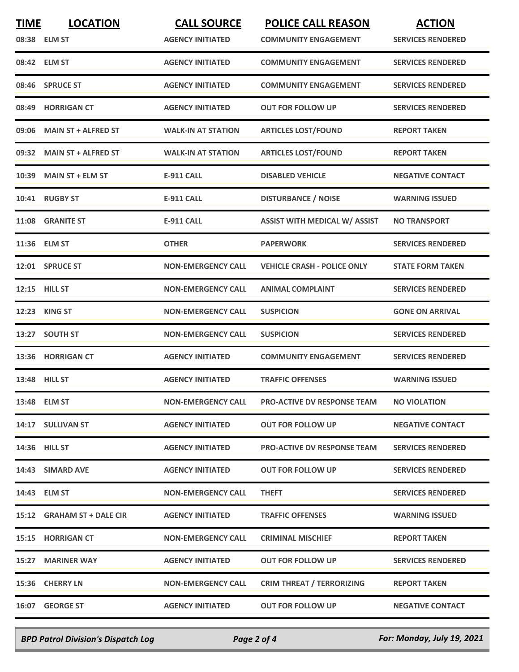| <b>TIME</b> | <b>LOCATION</b>            | <b>CALL SOURCE</b>        | <b>POLICE CALL REASON</b>            | <b>ACTION</b>            |
|-------------|----------------------------|---------------------------|--------------------------------------|--------------------------|
|             | 08:38 ELM ST               | <b>AGENCY INITIATED</b>   | <b>COMMUNITY ENGAGEMENT</b>          | <b>SERVICES RENDERED</b> |
|             | 08:42 ELM ST               | <b>AGENCY INITIATED</b>   | <b>COMMUNITY ENGAGEMENT</b>          | <b>SERVICES RENDERED</b> |
| 08:46       | <b>SPRUCE ST</b>           | <b>AGENCY INITIATED</b>   | <b>COMMUNITY ENGAGEMENT</b>          | <b>SERVICES RENDERED</b> |
| 08:49       | <b>HORRIGAN CT</b>         | <b>AGENCY INITIATED</b>   | <b>OUT FOR FOLLOW UP</b>             | <b>SERVICES RENDERED</b> |
| 09:06       | <b>MAIN ST + ALFRED ST</b> | <b>WALK-IN AT STATION</b> | <b>ARTICLES LOST/FOUND</b>           | <b>REPORT TAKEN</b>      |
| 09:32       | <b>MAIN ST + ALFRED ST</b> | <b>WALK-IN AT STATION</b> | <b>ARTICLES LOST/FOUND</b>           | <b>REPORT TAKEN</b>      |
| 10:39       | <b>MAIN ST + ELM ST</b>    | <b>E-911 CALL</b>         | <b>DISABLED VEHICLE</b>              | <b>NEGATIVE CONTACT</b>  |
| 10:41       | <b>RUGBY ST</b>            | <b>E-911 CALL</b>         | <b>DISTURBANCE / NOISE</b>           | <b>WARNING ISSUED</b>    |
|             | 11:08 GRANITE ST           | <b>E-911 CALL</b>         | <b>ASSIST WITH MEDICAL W/ ASSIST</b> | <b>NO TRANSPORT</b>      |
|             | 11:36 ELM ST               | <b>OTHER</b>              | <b>PAPERWORK</b>                     | <b>SERVICES RENDERED</b> |
|             | 12:01 SPRUCE ST            | <b>NON-EMERGENCY CALL</b> | <b>VEHICLE CRASH - POLICE ONLY</b>   | <b>STATE FORM TAKEN</b>  |
|             | 12:15 HILL ST              | <b>NON-EMERGENCY CALL</b> | <b>ANIMAL COMPLAINT</b>              | <b>SERVICES RENDERED</b> |
| 12:23       | <b>KING ST</b>             | <b>NON-EMERGENCY CALL</b> | <b>SUSPICION</b>                     | <b>GONE ON ARRIVAL</b>   |
| 13:27       | <b>SOUTH ST</b>            | <b>NON-EMERGENCY CALL</b> | <b>SUSPICION</b>                     | <b>SERVICES RENDERED</b> |
| 13:36       | <b>HORRIGAN CT</b>         | <b>AGENCY INITIATED</b>   | <b>COMMUNITY ENGAGEMENT</b>          | <b>SERVICES RENDERED</b> |
| 13:48       | <b>HILL ST</b>             | <b>AGENCY INITIATED</b>   | <b>TRAFFIC OFFENSES</b>              | <b>WARNING ISSUED</b>    |
|             | 13:48 ELM ST               | <b>NON-EMERGENCY CALL</b> | <b>PRO-ACTIVE DV RESPONSE TEAM</b>   | <b>NO VIOLATION</b>      |
|             | 14:17 SULLIVAN ST          | <b>AGENCY INITIATED</b>   | <b>OUT FOR FOLLOW UP</b>             | <b>NEGATIVE CONTACT</b>  |
|             | 14:36 HILL ST              | <b>AGENCY INITIATED</b>   | <b>PRO-ACTIVE DV RESPONSE TEAM</b>   | <b>SERVICES RENDERED</b> |
|             | 14:43 SIMARD AVE           | <b>AGENCY INITIATED</b>   | <b>OUT FOR FOLLOW UP</b>             | <b>SERVICES RENDERED</b> |
|             | 14:43 ELM ST               | <b>NON-EMERGENCY CALL</b> | <b>THEFT</b>                         | <b>SERVICES RENDERED</b> |
|             | 15:12 GRAHAM ST + DALE CIR | <b>AGENCY INITIATED</b>   | <b>TRAFFIC OFFENSES</b>              | <b>WARNING ISSUED</b>    |
|             | 15:15 HORRIGAN CT          | <b>NON-EMERGENCY CALL</b> | <b>CRIMINAL MISCHIEF</b>             | <b>REPORT TAKEN</b>      |
|             | 15:27 MARINER WAY          | <b>AGENCY INITIATED</b>   | <b>OUT FOR FOLLOW UP</b>             | <b>SERVICES RENDERED</b> |
|             | 15:36 CHERRY LN            | <b>NON-EMERGENCY CALL</b> | <b>CRIM THREAT / TERRORIZING</b>     | <b>REPORT TAKEN</b>      |
|             | 16:07 GEORGE ST            | <b>AGENCY INITIATED</b>   | <b>OUT FOR FOLLOW UP</b>             | <b>NEGATIVE CONTACT</b>  |
|             |                            |                           |                                      |                          |

*BPD Patrol Division's Dispatch Log Page 2 of 4 For: Monday, July 19, 2021*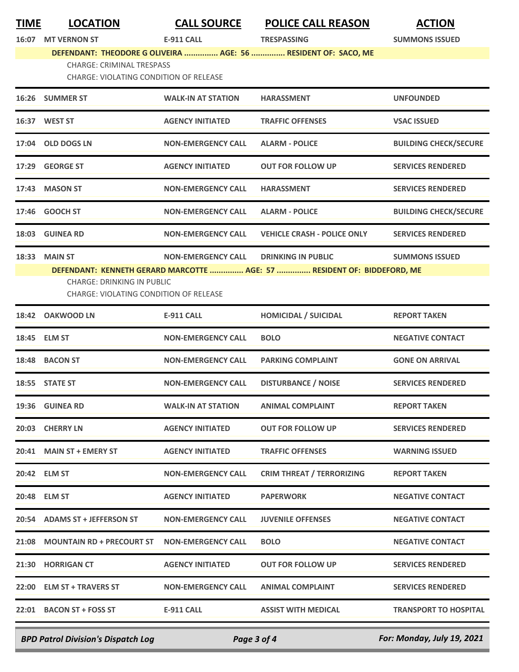| <u>TIME</u> | <b>LOCATION</b>                                                                    | <b>CALL SOURCE</b>        | <b>POLICE CALL REASON</b>                                               | <b>ACTION</b>                |
|-------------|------------------------------------------------------------------------------------|---------------------------|-------------------------------------------------------------------------|------------------------------|
| 16:07       | <b>MT VERNON ST</b>                                                                | <b>E-911 CALL</b>         | <b>TRESPASSING</b>                                                      | <b>SUMMONS ISSUED</b>        |
|             |                                                                                    |                           | DEFENDANT: THEODORE G OLIVEIRA  AGE: 56  RESIDENT OF: SACO, ME          |                              |
|             | <b>CHARGE: CRIMINAL TRESPASS</b><br><b>CHARGE: VIOLATING CONDITION OF RELEASE</b>  |                           |                                                                         |                              |
|             | 16:26 SUMMER ST                                                                    | <b>WALK-IN AT STATION</b> | <b>HARASSMENT</b>                                                       | <b>UNFOUNDED</b>             |
|             | 16:37 WEST ST                                                                      | <b>AGENCY INITIATED</b>   | <b>TRAFFIC OFFENSES</b>                                                 | <b>VSAC ISSUED</b>           |
| 17:04       | <b>OLD DOGS LN</b>                                                                 | <b>NON-EMERGENCY CALL</b> | <b>ALARM - POLICE</b>                                                   | <b>BUILDING CHECK/SECURE</b> |
| 17:29       | <b>GEORGE ST</b>                                                                   | <b>AGENCY INITIATED</b>   | <b>OUT FOR FOLLOW UP</b>                                                | <b>SERVICES RENDERED</b>     |
| 17:43       | <b>MASON ST</b>                                                                    | <b>NON-EMERGENCY CALL</b> | <b>HARASSMENT</b>                                                       | <b>SERVICES RENDERED</b>     |
| 17:46       | <b>GOOCH ST</b>                                                                    | <b>NON-EMERGENCY CALL</b> | <b>ALARM - POLICE</b>                                                   | <b>BUILDING CHECK/SECURE</b> |
| 18:03       | <b>GUINEA RD</b>                                                                   | <b>NON-EMERGENCY CALL</b> | <b>VEHICLE CRASH - POLICE ONLY</b>                                      | <b>SERVICES RENDERED</b>     |
| 18:33       | <b>MAIN ST</b>                                                                     | <b>NON-EMERGENCY CALL</b> | <b>DRINKING IN PUBLIC</b>                                               | <b>SUMMONS ISSUED</b>        |
|             |                                                                                    |                           | DEFENDANT: KENNETH GERARD MARCOTTE  AGE: 57  RESIDENT OF: BIDDEFORD, ME |                              |
|             | <b>CHARGE: DRINKING IN PUBLIC</b><br><b>CHARGE: VIOLATING CONDITION OF RELEASE</b> |                           |                                                                         |                              |
| 18:42       | <b>OAKWOOD LN</b>                                                                  | <b>E-911 CALL</b>         | <b>HOMICIDAL / SUICIDAL</b>                                             | <b>REPORT TAKEN</b>          |
|             | 18:45 ELM ST                                                                       | <b>NON-EMERGENCY CALL</b> | <b>BOLO</b>                                                             | <b>NEGATIVE CONTACT</b>      |
|             | 18:48 BACON ST                                                                     | <b>NON-EMERGENCY CALL</b> | <b>PARKING COMPLAINT</b>                                                | <b>GONE ON ARRIVAL</b>       |
|             | 18:55 STATE ST                                                                     | <b>NON-EMERGENCY CALL</b> | <b>DISTURBANCE / NOISE</b>                                              | <b>SERVICES RENDERED</b>     |
|             | 19:36 GUINEA RD                                                                    | <b>WALK-IN AT STATION</b> | <b>ANIMAL COMPLAINT</b>                                                 | <b>REPORT TAKEN</b>          |
|             | 20:03 CHERRY LN                                                                    | <b>AGENCY INITIATED</b>   | <b>OUT FOR FOLLOW UP</b>                                                | <b>SERVICES RENDERED</b>     |
|             | 20:41 MAIN ST + EMERY ST                                                           | <b>AGENCY INITIATED</b>   | <b>TRAFFIC OFFENSES</b>                                                 | <b>WARNING ISSUED</b>        |
|             | 20:42 ELM ST                                                                       | <b>NON-EMERGENCY CALL</b> | <b>CRIM THREAT / TERRORIZING</b>                                        | <b>REPORT TAKEN</b>          |
|             | 20:48 ELM ST                                                                       | <b>AGENCY INITIATED</b>   | <b>PAPERWORK</b>                                                        | <b>NEGATIVE CONTACT</b>      |
|             | 20:54 ADAMS ST + JEFFERSON ST                                                      | <b>NON-EMERGENCY CALL</b> | <b>JUVENILE OFFENSES</b>                                                | <b>NEGATIVE CONTACT</b>      |
|             | 21:08 MOUNTAIN RD + PRECOURT ST NON-EMERGENCY CALL                                 |                           | <b>BOLO</b>                                                             | <b>NEGATIVE CONTACT</b>      |
|             | 21:30 HORRIGAN CT                                                                  | <b>AGENCY INITIATED</b>   | <b>OUT FOR FOLLOW UP</b>                                                | <b>SERVICES RENDERED</b>     |
|             | 22:00 ELM ST + TRAVERS ST                                                          | <b>NON-EMERGENCY CALL</b> | <b>ANIMAL COMPLAINT</b>                                                 | <b>SERVICES RENDERED</b>     |
|             | 22:01 BACON ST + FOSS ST                                                           | <b>E-911 CALL</b>         | <b>ASSIST WITH MEDICAL</b>                                              | <b>TRANSPORT TO HOSPITAL</b> |
|             |                                                                                    |                           |                                                                         |                              |

*BPD Patrol Division's Dispatch Log Page 3 of 4 For: Monday, July 19, 2021*